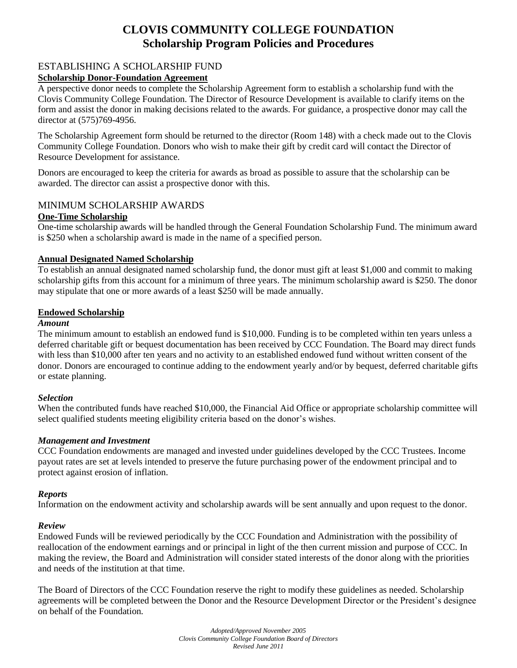# **CLOVIS COMMUNITY COLLEGE FOUNDATION Scholarship Program Policies and Procedures**

# ESTABLISHING A SCHOLARSHIP FUND

## **Scholarship Donor-Foundation Agreement**

A perspective donor needs to complete the Scholarship Agreement form to establish a scholarship fund with the Clovis Community College Foundation. The Director of Resource Development is available to clarify items on the form and assist the donor in making decisions related to the awards. For guidance, a prospective donor may call the director at (575)769-4956.

The Scholarship Agreement form should be returned to the director (Room 148) with a check made out to the Clovis Community College Foundation. Donors who wish to make their gift by credit card will contact the Director of Resource Development for assistance.

Donors are encouraged to keep the criteria for awards as broad as possible to assure that the scholarship can be awarded. The director can assist a prospective donor with this.

# MINIMUM SCHOLARSHIP AWARDS

#### **One-Time Scholarship**

One-time scholarship awards will be handled through the General Foundation Scholarship Fund. The minimum award is \$250 when a scholarship award is made in the name of a specified person.

#### **Annual Designated Named Scholarship**

To establish an annual designated named scholarship fund, the donor must gift at least \$1,000 and commit to making scholarship gifts from this account for a minimum of three years. The minimum scholarship award is \$250. The donor may stipulate that one or more awards of a least \$250 will be made annually.

#### **Endowed Scholarship**

#### *Amount*

The minimum amount to establish an endowed fund is \$10,000. Funding is to be completed within ten years unless a deferred charitable gift or bequest documentation has been received by CCC Foundation. The Board may direct funds with less than \$10,000 after ten years and no activity to an established endowed fund without written consent of the donor. Donors are encouraged to continue adding to the endowment yearly and/or by bequest, deferred charitable gifts or estate planning.

#### *Selection*

When the contributed funds have reached \$10,000, the Financial Aid Office or appropriate scholarship committee will select qualified students meeting eligibility criteria based on the donor's wishes.

### *Management and Investment*

CCC Foundation endowments are managed and invested under guidelines developed by the CCC Trustees. Income payout rates are set at levels intended to preserve the future purchasing power of the endowment principal and to protect against erosion of inflation.

#### *Reports*

Information on the endowment activity and scholarship awards will be sent annually and upon request to the donor.

#### *Review*

Endowed Funds will be reviewed periodically by the CCC Foundation and Administration with the possibility of reallocation of the endowment earnings and or principal in light of the then current mission and purpose of CCC. In making the review, the Board and Administration will consider stated interests of the donor along with the priorities and needs of the institution at that time.

The Board of Directors of the CCC Foundation reserve the right to modify these guidelines as needed. Scholarship agreements will be completed between the Donor and the Resource Development Director or the President's designee on behalf of the Foundation.

> *Adopted/Approved November 2005 Clovis Community College Foundation Board of Directors Revised June 2011*